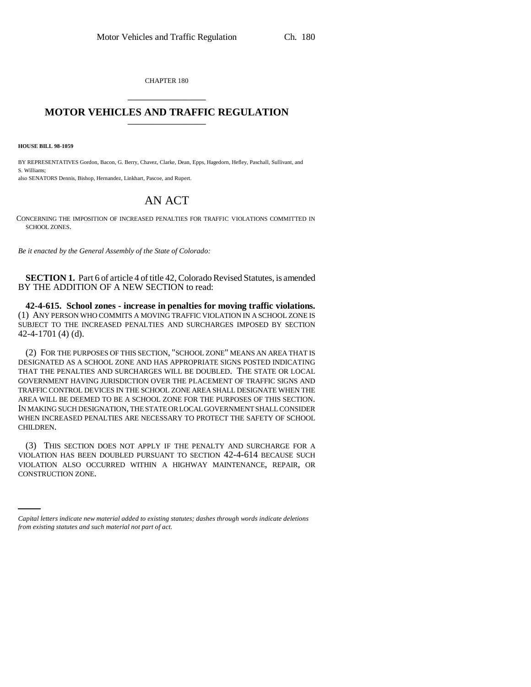CHAPTER 180 \_\_\_\_\_\_\_\_\_\_\_\_\_\_\_

## **MOTOR VEHICLES AND TRAFFIC REGULATION** \_\_\_\_\_\_\_\_\_\_\_\_\_\_\_

**HOUSE BILL 98-1059**

BY REPRESENTATIVES Gordon, Bacon, G. Berry, Chavez, Clarke, Dean, Epps, Hagedorn, Hefley, Paschall, Sullivant, and S. Williams; also SENATORS Dennis, Bishop, Hernandez, Linkhart, Pascoe, and Rupert.

## AN ACT

CONCERNING THE IMPOSITION OF INCREASED PENALTIES FOR TRAFFIC VIOLATIONS COMMITTED IN SCHOOL ZONES.

*Be it enacted by the General Assembly of the State of Colorado:*

**SECTION 1.** Part 6 of article 4 of title 42, Colorado Revised Statutes, is amended BY THE ADDITION OF A NEW SECTION to read:

**42-4-615. School zones - increase in penalties for moving traffic violations.** (1) ANY PERSON WHO COMMITS A MOVING TRAFFIC VIOLATION IN A SCHOOL ZONE IS SUBJECT TO THE INCREASED PENALTIES AND SURCHARGES IMPOSED BY SECTION 42-4-1701 (4) (d).

(2) FOR THE PURPOSES OF THIS SECTION, "SCHOOL ZONE" MEANS AN AREA THAT IS DESIGNATED AS A SCHOOL ZONE AND HAS APPROPRIATE SIGNS POSTED INDICATING THAT THE PENALTIES AND SURCHARGES WILL BE DOUBLED. THE STATE OR LOCAL GOVERNMENT HAVING JURISDICTION OVER THE PLACEMENT OF TRAFFIC SIGNS AND TRAFFIC CONTROL DEVICES IN THE SCHOOL ZONE AREA SHALL DESIGNATE WHEN THE AREA WILL BE DEEMED TO BE A SCHOOL ZONE FOR THE PURPOSES OF THIS SECTION. IN MAKING SUCH DESIGNATION, THE STATE OR LOCAL GOVERNMENT SHALL CONSIDER WHEN INCREASED PENALTIES ARE NECESSARY TO PROTECT THE SAFETY OF SCHOOL CHILDREN.

VIOLATION ALSO OCCURRED WITHIN A HIGHWAY MAINTENANCE, REPAIR, OR (3) THIS SECTION DOES NOT APPLY IF THE PENALTY AND SURCHARGE FOR A VIOLATION HAS BEEN DOUBLED PURSUANT TO SECTION 42-4-614 BECAUSE SUCH CONSTRUCTION ZONE.

*Capital letters indicate new material added to existing statutes; dashes through words indicate deletions from existing statutes and such material not part of act.*